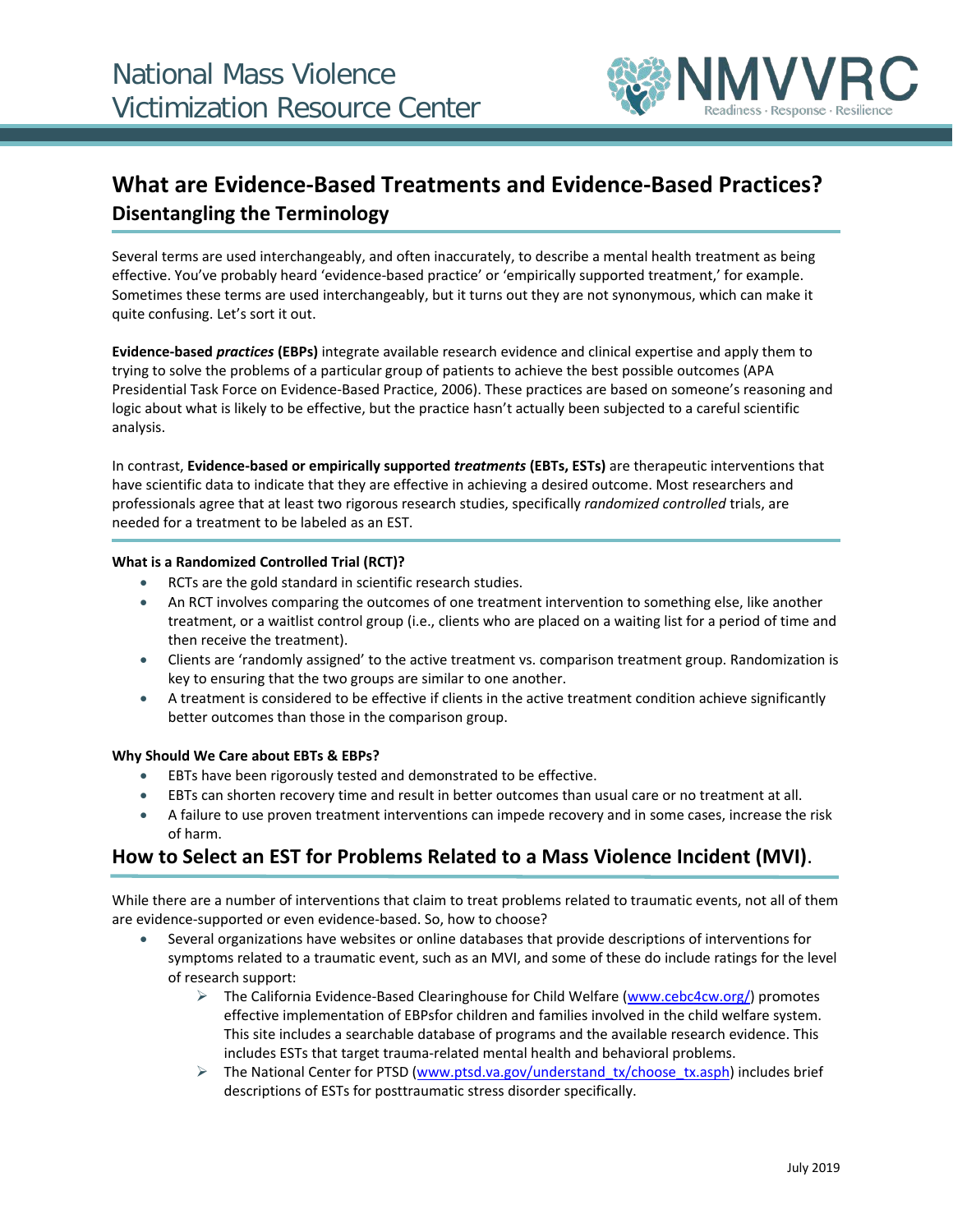

# **What are Evidence-Based Treatments and Evidence-Based Practices? Disentangling the Terminology**

Several terms are used interchangeably, and often inaccurately, to describe a mental health treatment as being effective. You've probably heard 'evidence-based practice' or 'empirically supported treatment,' for example. Sometimes these terms are used interchangeably, but it turns out they are not synonymous, which can make it quite confusing. Let's sort it out.

**Evidence-based** *practices* **(EBPs)** integrate available research evidence and clinical expertise and apply them to trying to solve the problems of a particular group of patients to achieve the best possible outcomes (APA Presidential Task Force on Evidence-Based Practice, 2006). These practices are based on someone's reasoning and logic about what is likely to be effective, but the practice hasn't actually been subjected to a careful scientific analysis.

In contrast, **Evidence-based or empirically supported** *treatments* **(EBTs, ESTs)** are therapeutic interventions that have scientific data to indicate that they are effective in achieving a desired outcome. Most researchers and professionals agree that at least two rigorous research studies, specifically *randomized controlled* trials, are needed for a treatment to be labeled as an EST.

### **What is a Randomized Controlled Trial (RCT)?**

- RCTs are the gold standard in scientific research studies.
- An RCT involves comparing the outcomes of one treatment intervention to something else, like another treatment, or a waitlist control group (i.e., clients who are placed on a waiting list for a period of time and then receive the treatment).
- Clients are 'randomly assigned' to the active treatment vs. comparison treatment group. Randomization is key to ensuring that the two groups are similar to one another.
- A treatment is considered to be effective if clients in the active treatment condition achieve significantly better outcomes than those in the comparison group.

#### **Why Should We Care about EBTs & EBPs?**

- EBTs have been rigorously tested and demonstrated to be effective.
- EBTs can shorten recovery time and result in better outcomes than usual care or no treatment at all.
- A failure to use proven treatment interventions can impede recovery and in some cases, increase the risk of harm.

# **How to Select an EST for Problems Related to a Mass Violence Incident (MVI)**.

While there are a number of interventions that claim to treat problems related to traumatic events, not all of them are evidence-supported or even evidence-based. So, how to choose?

- Several organizations have websites or online databases that provide descriptions of interventions for symptoms related to a traumatic event, such as an MVI, and some of these do include ratings for the level of research support:
	- $\triangleright$  The California Evidence-Based Clearinghouse for Child Welfare [\(www.cebc4cw.org/\)](https://www.cebc4cw.org/) promotes effective implementation of EBPsfor children and families involved in the child welfare system. This site includes a searchable database of programs and the available research evidence. This includes ESTs that target trauma-related mental health and behavioral problems.
	- The National Center for PTSD [\(www.ptsd.va.gov/understand\\_tx/choose\\_tx.asph\)](https://www.ptsd.va.gov/understand_tx/choose_tx.asp) includes brief descriptions of ESTs for posttraumatic stress disorder specifically.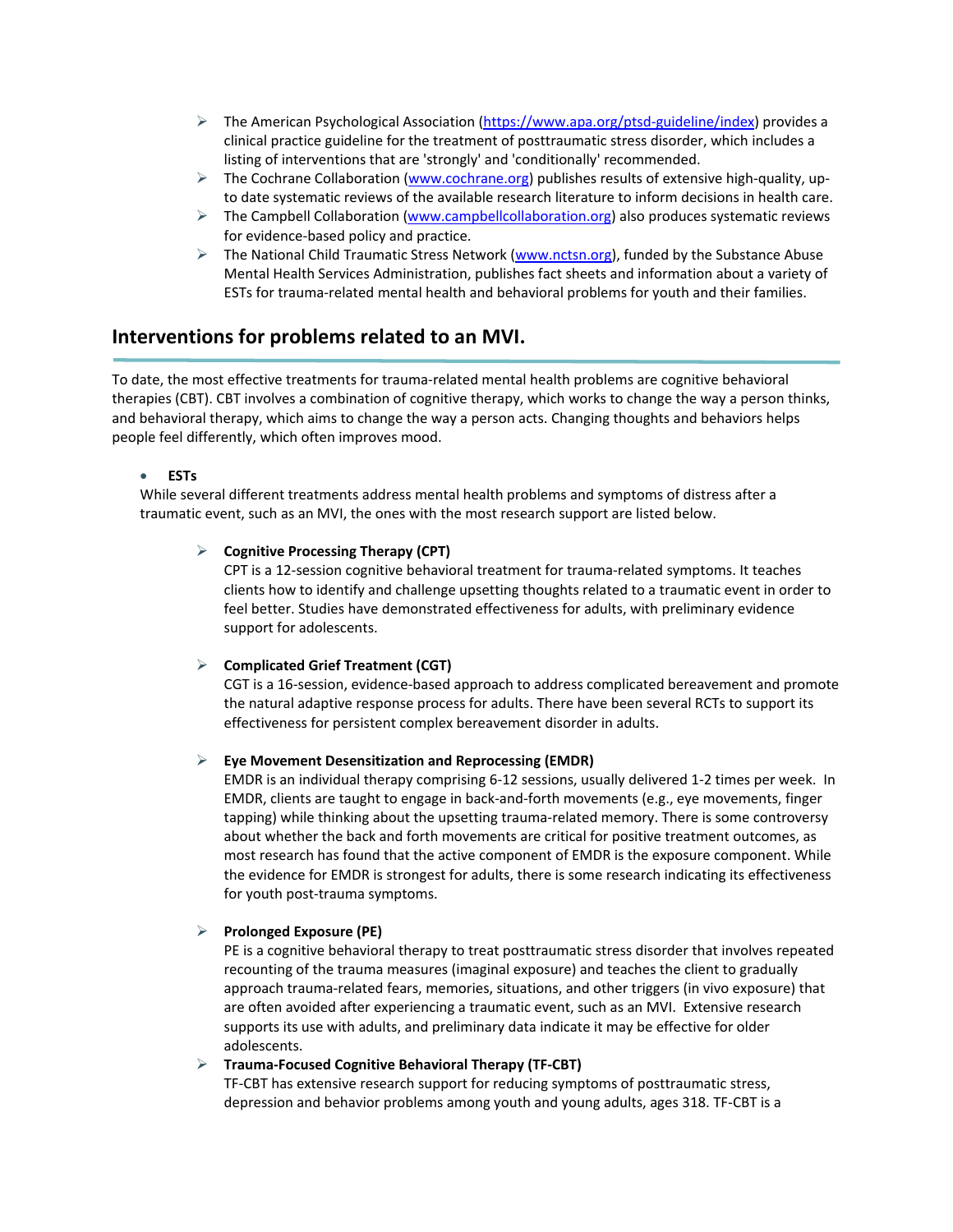- $\triangleright$  The American Psychological Association [\(https://www.apa.org/ptsd-guideline/index\)](https://www.apa.org/ptsd-guideline/index) provides a clinical practice guideline for the treatment of posttraumatic stress disorder, which includes a listing of interventions that are 'strongly' and 'conditionally' recommended.
- $\triangleright$  The Cochrane Collaboration [\(www.cochrane.org\)](https://www.cochrane.org/) publishes results of extensive high-quality, upto date systematic reviews of the available research literature to inform decisions in health care.
- $\triangleright$  The Campbell Collaboration [\(www.campbellcollaboration.org\)](http://www.campbellcollaboration.org/) also produces systematic reviews for evidence-based policy and practice.
- $\triangleright$  The National Child Traumatic Stress Network [\(www.nctsn.org\)](http://www.nctsn.org/), funded by the Substance Abuse Mental Health Services Administration, publishes fact sheets and information about a variety of ESTs for trauma-related mental health and behavioral problems for youth and their families.

# **Interventions for problems related to an MVI.**

To date, the most effective treatments for trauma-related mental health problems are cognitive behavioral therapies (CBT). CBT involves a combination of cognitive therapy, which works to change the way a person thinks, and behavioral therapy, which aims to change the way a person acts. Changing thoughts and behaviors helps people feel differently, which often improves mood.

# • **ESTs**

While several different treatments address mental health problems and symptoms of distress after a traumatic event, such as an MVI, the ones with the most research support are listed below.

# **Cognitive Processing Therapy (CPT)**

CPT is a 12-session cognitive behavioral treatment for trauma-related symptoms. It teaches clients how to identify and challenge upsetting thoughts related to a traumatic event in order to feel better. Studies have demonstrated effectiveness for adults, with preliminary evidence support for adolescents.

# **Complicated Grief Treatment (CGT)**

CGT is a 16-session, evidence-based approach to address complicated bereavement and promote the natural adaptive response process for adults. There have been several RCTs to support its effectiveness for persistent complex bereavement disorder in adults.

# **Eye Movement Desensitization and Reprocessing (EMDR)**

EMDR is an individual therapy comprising 6-12 sessions, usually delivered 1-2 times per week. In EMDR, clients are taught to engage in back-and-forth movements (e.g., eye movements, finger tapping) while thinking about the upsetting trauma-related memory. There is some controversy about whether the back and forth movements are critical for positive treatment outcomes, as most research has found that the active component of EMDR is the exposure component. While the evidence for EMDR is strongest for adults, there is some research indicating its effectiveness for youth post-trauma symptoms.

# **Prolonged Exposure (PE)**

PE is a cognitive behavioral therapy to treat posttraumatic stress disorder that involves repeated recounting of the trauma measures (imaginal exposure) and teaches the client to gradually approach trauma-related fears, memories, situations, and other triggers (in vivo exposure) that are often avoided after experiencing a traumatic event, such as an MVI. Extensive research supports its use with adults, and preliminary data indicate it may be effective for older adolescents.

# **Trauma-Focused Cognitive Behavioral Therapy (TF-CBT)**

TF-CBT has extensive research support for reducing symptoms of posttraumatic stress, depression and behavior problems among youth and young adults, ages 318. TF-CBT is a